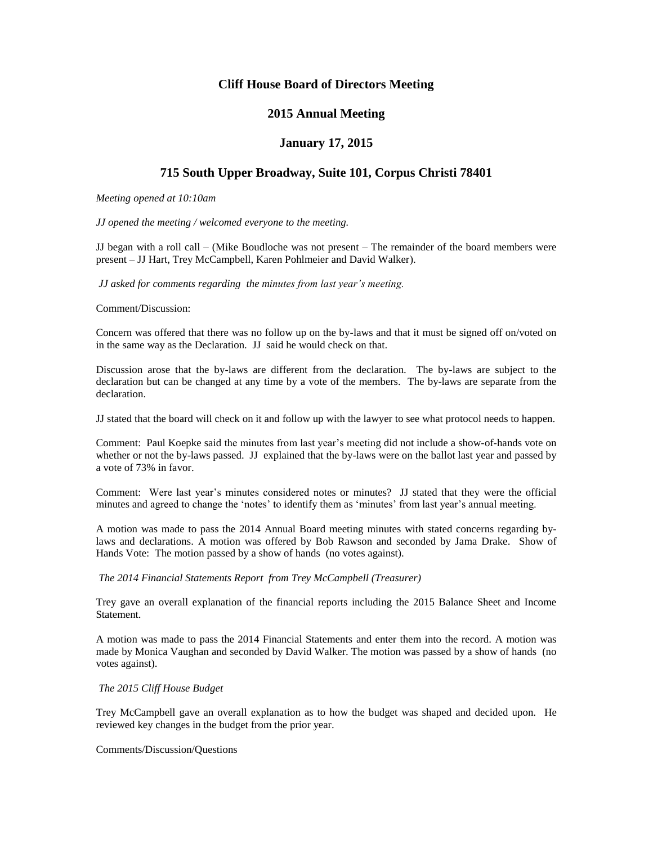# **Cliff House Board of Directors Meeting**

# **2015 Annual Meeting**

## **January 17, 2015**

# **715 South Upper Broadway, Suite 101, Corpus Christi 78401**

*Meeting opened at 10:10am*

*JJ opened the meeting / welcomed everyone to the meeting.*

JJ began with a roll call – (Mike Boudloche was not present – The remainder of the board members were present – JJ Hart, Trey McCampbell, Karen Pohlmeier and David Walker).

*JJ asked for comments regarding the minutes from last year's meeting.* 

Comment/Discussion:

Concern was offered that there was no follow up on the by-laws and that it must be signed off on/voted on in the same way as the Declaration. JJ said he would check on that.

Discussion arose that the by-laws are different from the declaration. The by-laws are subject to the declaration but can be changed at any time by a vote of the members. The by-laws are separate from the declaration.

JJ stated that the board will check on it and follow up with the lawyer to see what protocol needs to happen.

Comment: Paul Koepke said the minutes from last year's meeting did not include a show-of-hands vote on whether or not the by-laws passed. JJ explained that the by-laws were on the ballot last year and passed by a vote of 73% in favor.

Comment: Were last year's minutes considered notes or minutes? JJ stated that they were the official minutes and agreed to change the 'notes' to identify them as 'minutes' from last year's annual meeting.

A motion was made to pass the 2014 Annual Board meeting minutes with stated concerns regarding bylaws and declarations. A motion was offered by Bob Rawson and seconded by Jama Drake. Show of Hands Vote: The motion passed by a show of hands (no votes against).

### *The 2014 Financial Statements Report from Trey McCampbell (Treasurer)*

Trey gave an overall explanation of the financial reports including the 2015 Balance Sheet and Income Statement.

A motion was made to pass the 2014 Financial Statements and enter them into the record. A motion was made by Monica Vaughan and seconded by David Walker. The motion was passed by a show of hands (no votes against).

### *The 2015 Cliff House Budget*

Trey McCampbell gave an overall explanation as to how the budget was shaped and decided upon. He reviewed key changes in the budget from the prior year.

## Comments/Discussion/Questions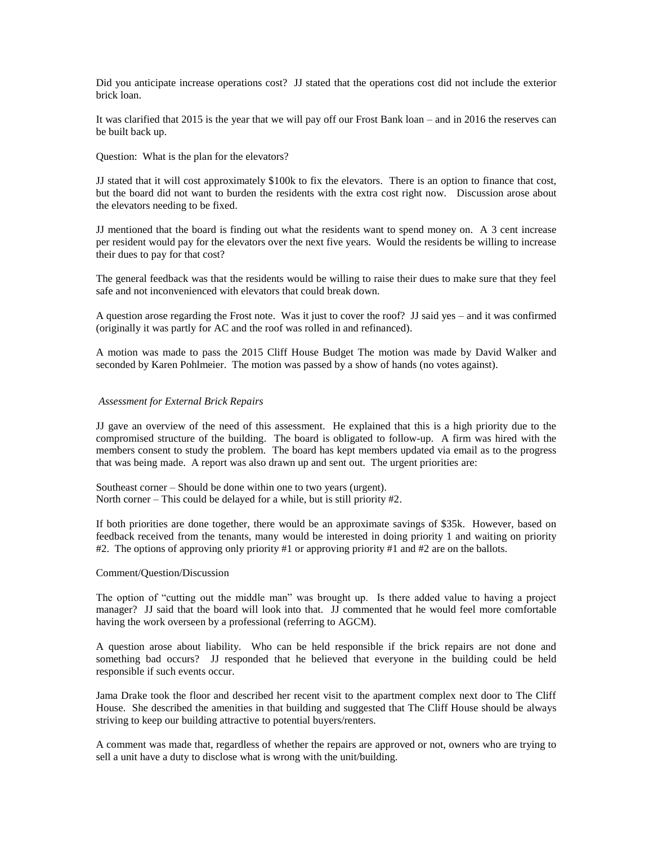Did you anticipate increase operations cost? JJ stated that the operations cost did not include the exterior brick loan.

It was clarified that 2015 is the year that we will pay off our Frost Bank loan – and in 2016 the reserves can be built back up.

Question: What is the plan for the elevators?

JJ stated that it will cost approximately \$100k to fix the elevators. There is an option to finance that cost, but the board did not want to burden the residents with the extra cost right now. Discussion arose about the elevators needing to be fixed.

JJ mentioned that the board is finding out what the residents want to spend money on. A 3 cent increase per resident would pay for the elevators over the next five years. Would the residents be willing to increase their dues to pay for that cost?

The general feedback was that the residents would be willing to raise their dues to make sure that they feel safe and not inconvenienced with elevators that could break down.

A question arose regarding the Frost note. Was it just to cover the roof? JJ said yes – and it was confirmed (originally it was partly for AC and the roof was rolled in and refinanced).

A motion was made to pass the 2015 Cliff House Budget The motion was made by David Walker and seconded by Karen Pohlmeier. The motion was passed by a show of hands (no votes against).

#### *Assessment for External Brick Repairs*

JJ gave an overview of the need of this assessment. He explained that this is a high priority due to the compromised structure of the building. The board is obligated to follow-up. A firm was hired with the members consent to study the problem. The board has kept members updated via email as to the progress that was being made. A report was also drawn up and sent out. The urgent priorities are:

Southeast corner – Should be done within one to two years (urgent). North corner – This could be delayed for a while, but is still priority #2.

If both priorities are done together, there would be an approximate savings of \$35k. However, based on feedback received from the tenants, many would be interested in doing priority 1 and waiting on priority #2. The options of approving only priority #1 or approving priority #1 and #2 are on the ballots.

#### Comment/Question/Discussion

The option of "cutting out the middle man" was brought up. Is there added value to having a project manager? JJ said that the board will look into that. JJ commented that he would feel more comfortable having the work overseen by a professional (referring to AGCM).

A question arose about liability. Who can be held responsible if the brick repairs are not done and something bad occurs? JJ responded that he believed that everyone in the building could be held responsible if such events occur.

Jama Drake took the floor and described her recent visit to the apartment complex next door to The Cliff House. She described the amenities in that building and suggested that The Cliff House should be always striving to keep our building attractive to potential buyers/renters.

A comment was made that, regardless of whether the repairs are approved or not, owners who are trying to sell a unit have a duty to disclose what is wrong with the unit/building.